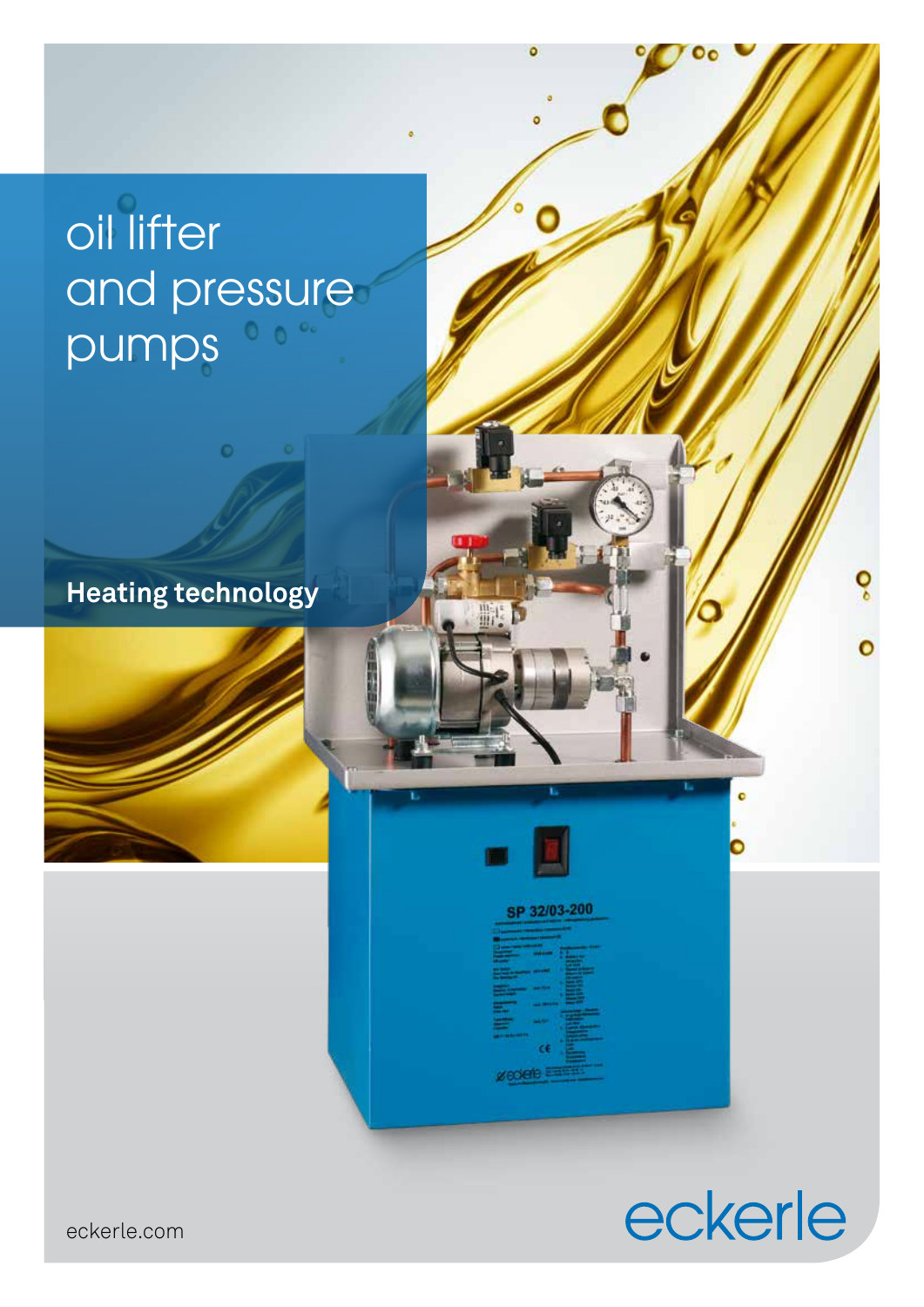# oil lifter and pressure pumps

# **Heating technology**

# SP 32/03-200

# eckerle

ó

 $\overline{\mathbf{c}}$ 

eckerle.com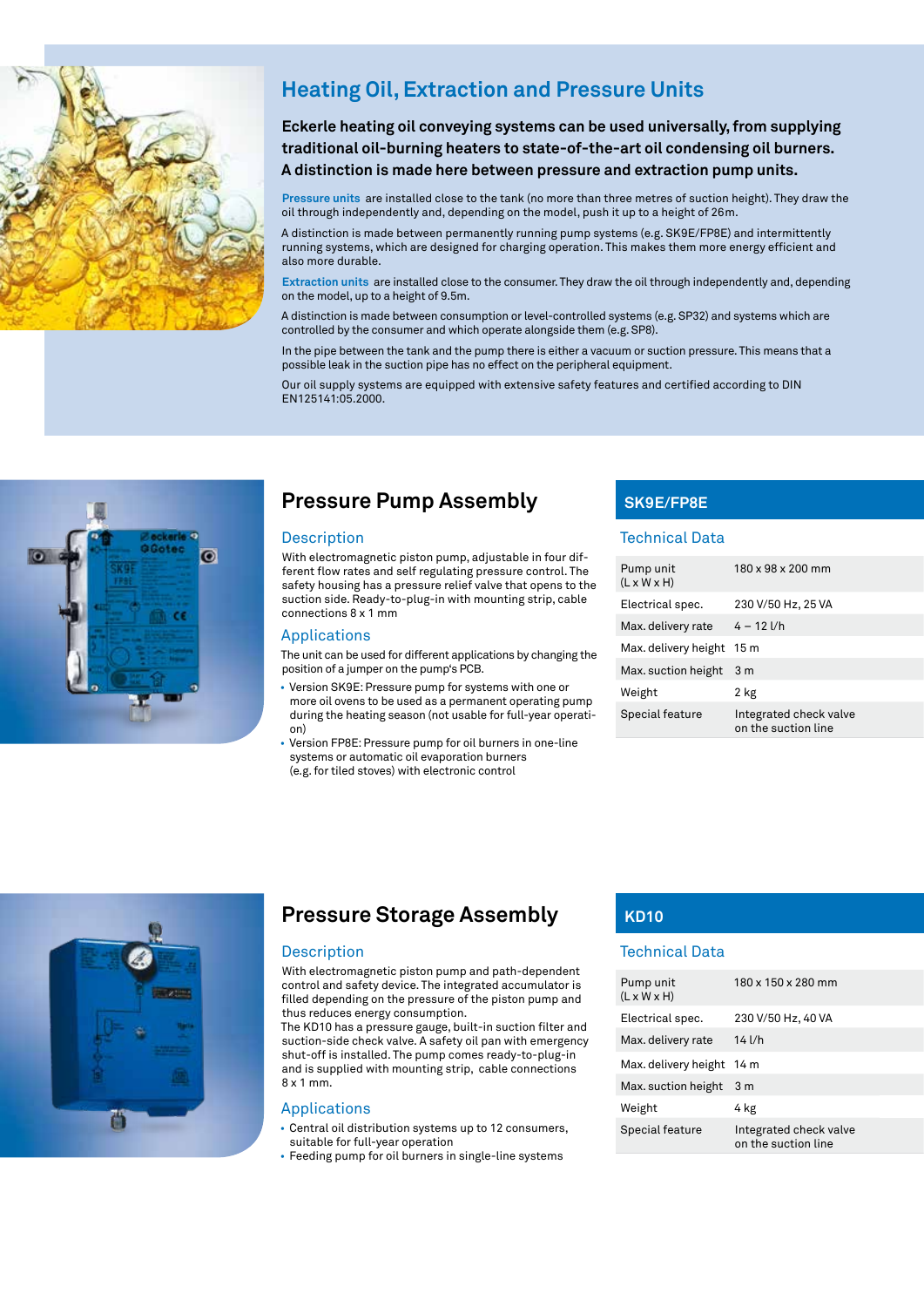

# **Heating Oil, Extraction and Pressure Units**

**Eckerle heating oil conveying systems can be used universally, from supplying traditional oil-burning heaters to state-of-the-art oil condensing oil burners. A distinction is made here between pressure and extraction pump units.** 

**Pressure units** are installed close to the tank (no more than three metres of suction height). They draw the oil through independently and, depending on the model, push it up to a height of 26m.

A distinction is made between permanently running pump systems (e.g. SK9E/FP8E) and intermittently running systems, which are designed for charging operation. This makes them more energy efficient and also more durable.

**Extraction units** are installed close to the consumer. They draw the oil through independently and, depending on the model, up to a height of 9.5m.

A distinction is made between consumption or level-controlled systems (e.g. SP32) and systems which are controlled by the consumer and which operate alongside them (e.g. SP8).

In the pipe between the tank and the pump there is either a vacuum or suction pressure. This means that a possible leak in the suction pipe has no effect on the peripheral equipment.

Our oil supply systems are equipped with extensive safety features and certified according to DIN EN125141:05.2000.



# **Pressure Pump Assembly**

## Description

With electromagnetic piston pump, adjustable in four different flow rates and self regulating pressure control. The safety housing has a pressure relief valve that opens to the suction side. Ready-to-plug-in with mounting strip, cable connections 8 x 1 mm

#### Applications

The unit can be used for different applications by changing the position of a jumper on the pump's PCB.

- Version SK9E: Pressure pump for systems with one or more oil ovens to be used as a permanent operating pump during the heating season (not usable for full-year operation)
- Version FP8E: Pressure pump for oil burners in one-line systems or automatic oil evaporation burners (e.g. for tiled stoves) with electronic control

# **SK9E/FP8E**

# Technical Data

| Pump unit<br>$(L \times W \times H)$ | 180 x 98 x 200 mm                             |
|--------------------------------------|-----------------------------------------------|
| Electrical spec.                     | 230 V/50 Hz, 25 VA                            |
| Max. delivery rate                   | $4 - 12$ $1/h$                                |
| Max. delivery height 15 m            |                                               |
| Max. suction height                  | 3 m                                           |
| Weight                               | 2 kg                                          |
| Special feature                      | Integrated check valve<br>on the suction line |



# **EE20000 Pressure Storage Assembly KD10**

# Description

With electromagnetic piston pump and path-dependent control and safety device. The integrated accumulator is filled depending on the pressure of the piston pump and thus reduces energy consumption.

The KD10 has a pressure gauge, built-in suction filter and suction-side check valve. A safety oil pan with emergency shut-off is installed. The pump comes ready-to-plug-in and is supplied with mounting strip, cable connections 8 x 1 mm.

## Applications

• Central oil distribution systems up to 12 consumers, suitable for full-year operation

• Feeding pump for oil burners in single-line systems

# Technical Data

| Pump unit<br>$(L \times W \times H)$ | 180 x 150 x 280 mm                            |
|--------------------------------------|-----------------------------------------------|
| Electrical spec.                     | 230 V/50 Hz, 40 VA                            |
| Max. delivery rate                   | $14$ l/h                                      |
| Max. delivery height                 | 14 m                                          |
| Max. suction height                  | 3 m                                           |
| Weight                               | 4 kg                                          |
| Special feature                      | Integrated check valve<br>on the suction line |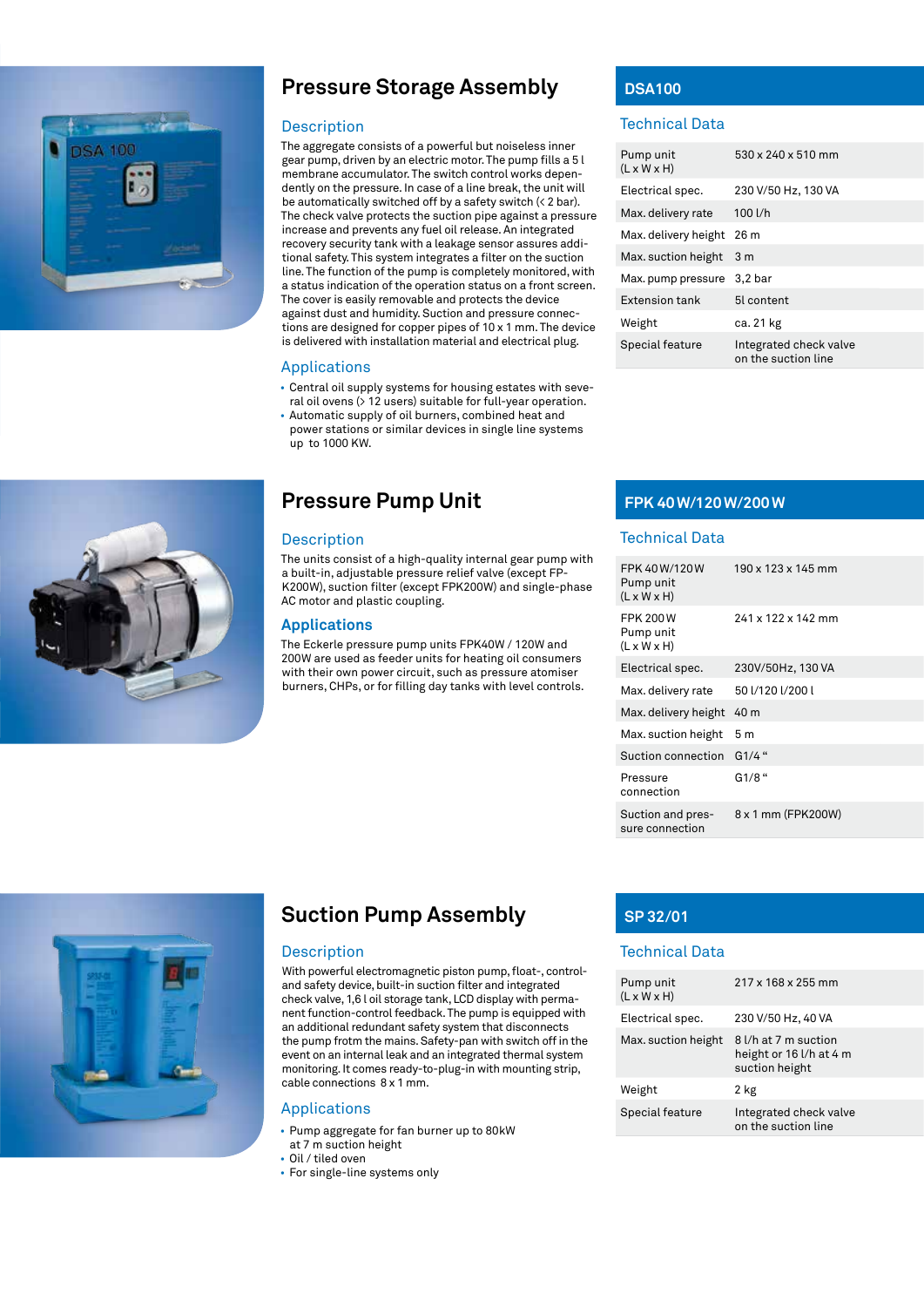

# **Pressure Storage Assembly**

#### Description

The aggregate consists of a powerful but noiseless inner gear pump, driven by an electric motor. The pump fills a 5 l membrane accumulator. The switch control works dependently on the pressure. In case of a line break, the unit will be automatically switched off by a safety switch (< 2 bar). The check valve protects the suction pipe against a pressure increase and prevents any fuel oil release. An integrated recovery security tank with a leakage sensor assures additional safety. This system integrates a filter on the suction line. The function of the pump is completely monitored, with a status indication of the operation status on a front screen. The cover is easily removable and protects the device against dust and humidity. Suction and pressure connections are designed for copper pipes of 10 x 1 mm. The device is delivered with installation material and electrical plug.

#### Applications

- Central oil supply systems for housing estates with several oil ovens (> 12 users) suitable for full-year operation.
- Automatic supply of oil burners, combined heat and power stations or similar devices in single line systems up to 1000 KW.

# **Pressure Pump Unit**

#### Description

The units consist of a high-quality internal gear pump with a built-in, adjustable pressure relief valve (except FP-K200W), suction filter (except FPK200W) and single-phase AC motor and plastic coupling.

# **Applications**

The Eckerle pressure pump units FPK40W / 120W and 200W are used as feeder units for heating oil consumers with their own power circuit, such as pressure atomiser burners, CHPs, or for filling day tanks with level controls.

# **DSA100**

# Technical Data

| Pump unit<br>$(L \times W \times H)$ | 530 x 240 x 510 mm                            |
|--------------------------------------|-----------------------------------------------|
| Electrical spec.                     | 230 V/50 Hz, 130 VA                           |
| Max. delivery rate                   | 100 l/h                                       |
| Max. delivery height                 | 26 m                                          |
| Max. suction height                  | 3 m                                           |
| Max. pump pressure                   | $3,2$ bar                                     |
| <b>Extension tank</b>                | 51 content                                    |
| Weight                               | ca. 21 kg                                     |
| Special feature                      | Integrated check valve<br>on the suction line |

# **FPK 40W/120W/200W**

#### Technical Data

| FPK 40W/120W<br>Pump unit<br>$(L \times W \times H)$    | 190 x 123 x 145 mm |
|---------------------------------------------------------|--------------------|
| <b>FPK 200W</b><br>Pump unit<br>$(L \times W \times H)$ | 241 x 122 x 142 mm |
| Electrical spec.                                        | 230V/50Hz, 130 VA  |
| Max. delivery rate                                      | 50 1/120 1/200 1   |
| Max. delivery height                                    | 40 m               |
| Max. suction height                                     | 5 m                |
| Suction connection                                      | $G1/4$ "           |
| Pressure<br>connection                                  | $G1/8$ "           |
| Suction and pres-<br>sure connection                    | 8 x 1 mm (FPK200W) |





# **Suction Pump Assembly**

### Description

With powerful electromagnetic piston pump, float-, controland safety device, built-in suction filter and integrated check valve, 1,6 l oil storage tank, LCD display with permanent function-control feedback. The pump is equipped with an additional redundant safety system that disconnects the pump frotm the mains. Safety-pan with switch off in the event on an internal leak and an integrated thermal system monitoring. It comes ready-to-plug-in with mounting strip, cable connections 8 x 1 mm.

# Applications

- Pump aggregate for fan burner up to 80kW at 7 m suction height
- Oil / tiled oven
- For single-line systems only

# **SP 32/01**

# Technical Data

| Pump unit<br>$(L \times W \times H)$ | 217 x 168 x 255 mm                                                |
|--------------------------------------|-------------------------------------------------------------------|
| Electrical spec.                     | 230 V/50 Hz, 40 VA                                                |
| Max. suction height                  | 8 l/h at 7 m suction<br>height or 16 l/h at 4 m<br>suction height |
| Weight                               | 2 kg                                                              |
| Special feature                      | Integrated check valve<br>on the suction line                     |